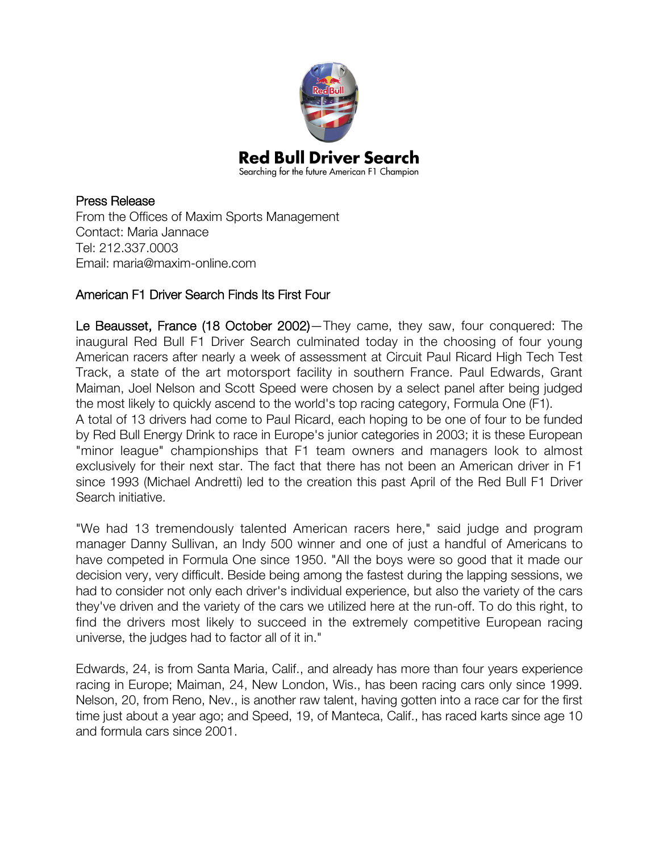

## Press Release

From the Offices of Maxim Sports Management Contact: Maria Jannace Tel: 212.337.0003 Email: maria@maxim-online.com

## American F1 Driver Search Finds Its First Four

Le Beausset, France (18 October 2002)—They came, they saw, four conquered: The inaugural Red Bull F1 Driver Search culminated today in the choosing of four young American racers after nearly a week of assessment at Circuit Paul Ricard High Tech Test Track, a state of the art motorsport facility in southern France. Paul Edwards, Grant Maiman, Joel Nelson and Scott Speed were chosen by a select panel after being judged the most likely to quickly ascend to the world's top racing category, Formula One (F1).

A total of 13 drivers had come to Paul Ricard, each hoping to be one of four to be funded by Red Bull Energy Drink to race in Europe's junior categories in 2003; it is these European "minor league" championships that F1 team owners and managers look to almost exclusively for their next star. The fact that there has not been an American driver in F1 since 1993 (Michael Andretti) led to the creation this past April of the Red Bull F1 Driver Search initiative.

"We had 13 tremendously talented American racers here," said judge and program manager Danny Sullivan, an Indy 500 winner and one of just a handful of Americans to have competed in Formula One since 1950. "All the boys were so good that it made our decision very, very difficult. Beside being among the fastest during the lapping sessions, we had to consider not only each driver's individual experience, but also the variety of the cars they've driven and the variety of the cars we utilized here at the run-off. To do this right, to find the drivers most likely to succeed in the extremely competitive European racing universe, the judges had to factor all of it in."

Edwards, 24, is from Santa Maria, Calif., and already has more than four years experience racing in Europe; Maiman, 24, New London, Wis., has been racing cars only since 1999. Nelson, 20, from Reno, Nev., is another raw talent, having gotten into a race car for the first time just about a year ago; and Speed, 19, of Manteca, Calif., has raced karts since age 10 and formula cars since 2001.